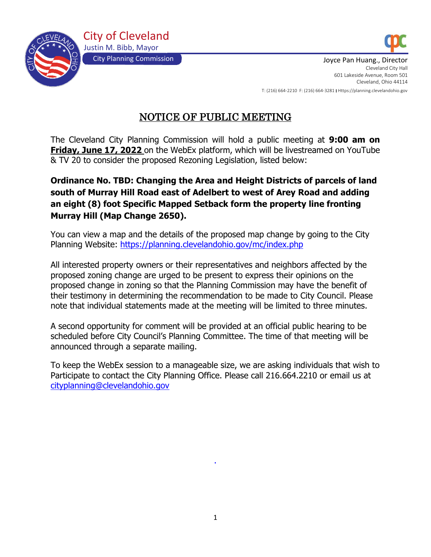



City Planning Commission July 2008 2014 10:30 September 2014 10:40 September 2014 10:40 September 2014 10:40 Cleveland City Hall 601 Lakeside Avenue, Room 501 Cleveland, Ohio 44114 T: (216) 664-2210 F: (216) 664-3281 I Https://planning.clevelandohio.gov

NOTICE OF PUBLIC MEETING

The Cleveland City Planning Commission will hold a public meeting at **9:00 am on Friday, June 17, 2022** on the WebEx platform, which will be livestreamed on YouTube & TV 20 to consider the proposed Rezoning Legislation, listed below:

# **Ordinance No. TBD: Changing the Area and Height Districts of parcels of land south of Murray Hill Road east of Adelbert to west of Arey Road and adding an eight (8) foot Specific Mapped Setback form the property line fronting Murray Hill (Map Change 2650).**

You can view a map and the details of the proposed map change by going to the City Planning Website: <https://planning.clevelandohio.gov/mc/index.php>

All interested property owners or their representatives and neighbors affected by the proposed zoning change are urged to be present to express their opinions on the proposed change in zoning so that the Planning Commission may have the benefit of their testimony in determining the recommendation to be made to City Council. Please note that individual statements made at the meeting will be limited to three minutes.

A second opportunity for comment will be provided at an official public hearing to be scheduled before City Council's Planning Committee. The time of that meeting will be announced through a separate mailing.

To keep the WebEx session to a manageable size, we are asking individuals that wish to Participate to contact the City Planning Office. Please call 216.664.2210 or email us at [cityplanning@clevelandohio.gov](mailto:cityplanning@clevelandohio.gov)

.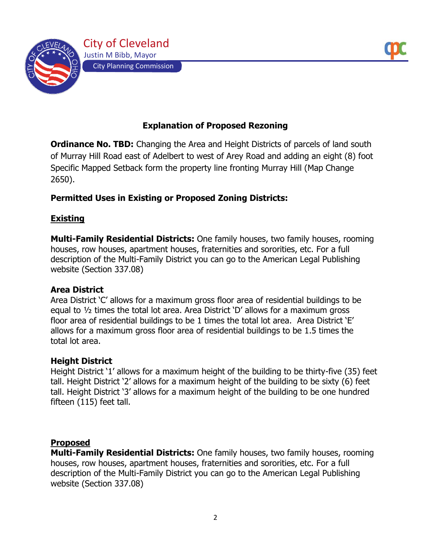

# **Explanation of Proposed Rezoning**

**Ordinance No. TBD:** Changing the Area and Height Districts of parcels of land south of Murray Hill Road east of Adelbert to west of Arey Road and adding an eight (8) foot Specific Mapped Setback form the property line fronting Murray Hill (Map Change 2650).

### **Permitted Uses in Existing or Proposed Zoning Districts:**

#### **Existing**

**Multi-Family Residential Districts:** One family houses, two family houses, rooming houses, row houses, apartment houses, fraternities and sororities, etc. For a full description of the Multi-Family District you can go to the American Legal Publishing website (Section 337.08)

#### **Area District**

Area District 'C' allows for a maximum gross floor area of residential buildings to be equal to ½ times the total lot area. Area District 'D' allows for a maximum gross floor area of residential buildings to be 1 times the total lot area. Area District 'E' allows for a maximum gross floor area of residential buildings to be 1.5 times the total lot area.

#### **Height District**

Height District '1' allows for a maximum height of the building to be thirty-five (35) feet tall. Height District '2' allows for a maximum height of the building to be sixty (6) feet tall. Height District '3' allows for a maximum height of the building to be one hundred fifteen (115) feet tall.

#### **Proposed**

**Multi-Family Residential Districts:** One family houses, two family houses, rooming houses, row houses, apartment houses, fraternities and sororities, etc. For a full description of the Multi-Family District you can go to the American Legal Publishing website (Section 337.08)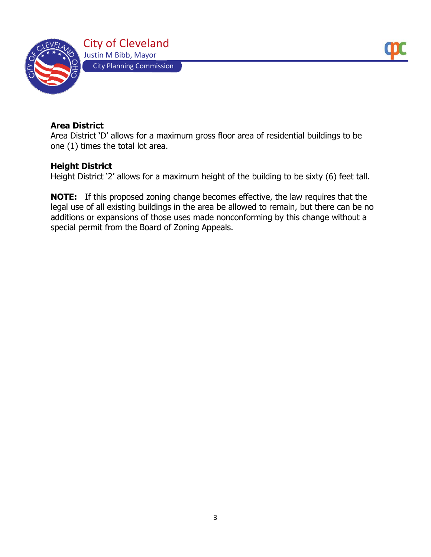

### **Area District**

Area District 'D' allows for a maximum gross floor area of residential buildings to be one (1) times the total lot area.

#### **Height District**

Height District '2' allows for a maximum height of the building to be sixty (6) feet tall.

**NOTE:** If this proposed zoning change becomes effective, the law requires that the legal use of all existing buildings in the area be allowed to remain, but there can be no additions or expansions of those uses made nonconforming by this change without a special permit from the Board of Zoning Appeals.